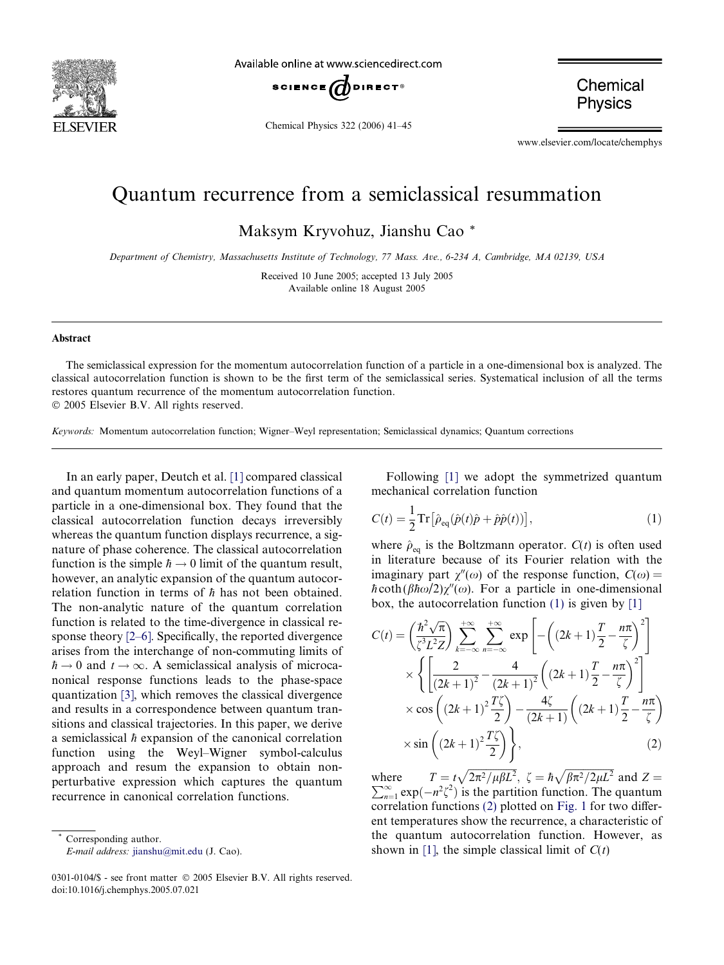<span id="page-0-0"></span>

Available online at www.sciencedirect.com



Chemical Physics 322 (2006) 41–45

Chemical **Physics** 

www.elsevier.com/locate/chemphys

## Quantum recurrence from a semiclassical resummation

Maksym Kryvohuz, Jianshu Cao \*

Department of Chemistry, Massachusetts Institute of Technology, 77 Mass. Ave., 6-234 A, Cambridge, MA 02139, USA

Received 10 June 2005; accepted 13 July 2005 Available online 18 August 2005

## Abstract

The semiclassical expression for the momentum autocorrelation function of a particle in a one-dimensional box is analyzed. The classical autocorrelation function is shown to be the first term of the semiclassical series. Systematical inclusion of all the terms restores quantum recurrence of the momentum autocorrelation function.

2005 Elsevier B.V. All rights reserved.

Keywords: Momentum autocorrelation function; Wigner–Weyl representation; Semiclassical dynamics; Quantum corrections

In an early paper, Deutch et al. [\[1\]](#page-3-0) compared classical and quantum momentum autocorrelation functions of a particle in a one-dimensional box. They found that the classical autocorrelation function decays irreversibly whereas the quantum function displays recurrence, a signature of phase coherence. The classical autocorrelation function is the simple  $\hbar \rightarrow 0$  limit of the quantum result, however, an analytic expansion of the quantum autocorrelation function in terms of  $\hbar$  has not been obtained. The non-analytic nature of the quantum correlation function is related to the time-divergence in classical response theory [\[2–6\]](#page-3-0). Specifically, the reported divergence arises from the interchange of non-commuting limits of  $\hbar \rightarrow 0$  and  $t \rightarrow \infty$ . A semiclassical analysis of microcanonical response functions leads to the phase-space quantization [\[3\]](#page-3-0), which removes the classical divergence and results in a correspondence between quantum transitions and classical trajectories. In this paper, we derive a semiclassical  $\hbar$  expansion of the canonical correlation function using the Weyl–Wigner symbol-calculus approach and resum the expansion to obtain nonperturbative expression which captures the quantum recurrence in canonical correlation functions.

Corresponding author. E-mail address: [jianshu@mit.edu](mailto:jianshu@mit.edu) (J. Cao).

Following [\[1\]](#page-3-0) we adopt the symmetrized quantum mechanical correlation function

$$
C(t) = \frac{1}{2} \operatorname{Tr} \left[ \hat{\rho}_{\text{eq}} (\hat{p}(t)\hat{p} + \hat{p}\hat{p}(t)) \right],\tag{1}
$$

where  $\hat{\rho}_{eq}$  is the Boltzmann operator.  $C(t)$  is often used in literature because of its Fourier relation with the imaginary part  $\chi''(\omega)$  of the response function,  $C(\omega)$  =  $\hbar \coth(\beta \hbar \omega/2)\chi''(\omega)$ . For a particle in one-dimensional box, the autocorrelation function  $(1)$  is given by  $[1]$ 

$$
C(t) = \left(\frac{\hbar^2 \sqrt{\pi}}{\zeta^3 L^2 Z}\right) \sum_{k=-\infty}^{+\infty} \sum_{n=-\infty}^{+\infty} \exp\left[-\left((2k+1)\frac{T}{2} - \frac{n\pi}{\zeta}\right)^2\right]
$$

$$
\times \left\{\left[\frac{2}{(2k+1)^2} - \frac{4}{(2k+1)^2}\left((2k+1)\frac{T}{2} - \frac{n\pi}{\zeta}\right)^2\right]\right\}
$$

$$
\times \cos\left((2k+1)^2 \frac{T\zeta}{2}\right) - \frac{4\zeta}{(2k+1)}\left((2k+1)\frac{T}{2} - \frac{n\pi}{\zeta}\right)
$$

$$
\times \sin\left((2k+1)^2 \frac{T\zeta}{2}\right)\right\},\tag{2}
$$

where  $T = t\sqrt{2\pi^2/\mu\beta L^2}$ ,  $\zeta = \hbar\sqrt{\beta\pi^2/2\mu L^2}$  and  $Z = \sum_{\alpha=2}^{\infty}$  and  $\zeta = \frac{1}{2}$  $\sum_{n=1}^{\infty} \exp(-n^2 \zeta^2)$  is the partition function. The quantum correlation functions (2) plotted on [Fig. 1](#page-1-0) for two different temperatures show the recurrence, a characteristic of the quantum autocorrelation function. However, as shown in [\[1\]](#page-3-0), the simple classical limit of  $C(t)$ 

<sup>0301-0104/\$ -</sup> see front matter © 2005 Elsevier B.V. All rights reserved. doi:10.1016/j.chemphys.2005.07.021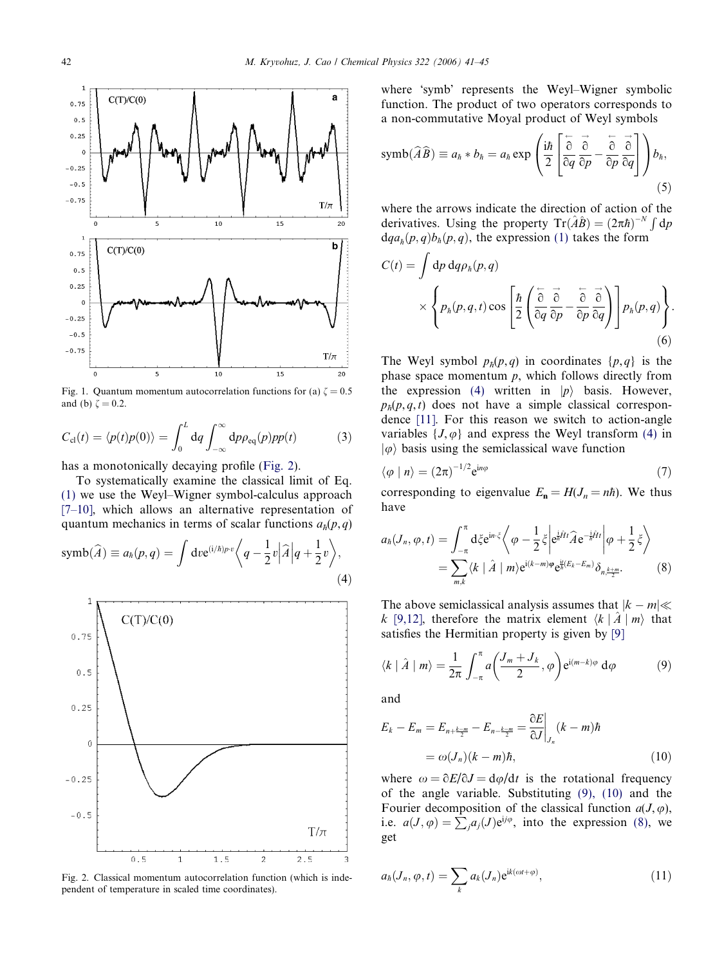<span id="page-1-0"></span>

Fig. 1. Quantum momentum autocorrelation functions for (a)  $\zeta = 0.5$ and (b)  $\zeta = 0.2$ .

$$
C_{\rm cl}(t) = \langle p(t)p(0) \rangle = \int_0^L dq \int_{-\infty}^{\infty} dp \rho_{\rm eq}(p) p p(t) \tag{3}
$$

has a monotonically decaying profile (Fig. 2).

To systematically examine the classical limit of Eq. [\(1\)](#page-0-0) we use the Weyl–Wigner symbol-calculus approach [\[7–10\]](#page-3-0), which allows an alternative representation of quantum mechanics in terms of scalar functions  $a_h(p,q)$ 

$$
\text{symb}(\widehat{A}) \equiv a_h(p,q) = \int \text{d}v e^{(i/\hbar)p \cdot v} \left\langle q - \frac{1}{2}v \middle| \widehat{A} \middle| q + \frac{1}{2}v \right\rangle, \tag{4}
$$



Fig. 2. Classical momentum autocorrelation function (which is independent of temperature in scaled time coordinates).

where 'symb' represents the Weyl–Wigner symbolic function. The product of two operators corresponds to a non-commutative Moyal product of Weyl symbols

$$
\text{symb}(\widehat{A}\widehat{B}) \equiv a_{\hbar} * b_{\hbar} = a_{\hbar} \exp\left(\frac{\mathrm{i}\hbar}{2} \left[ \frac{\overleftarrow{\partial}}{\partial q} \frac{\overrightarrow{\partial}}{\partial p} - \frac{\overleftarrow{\partial}}{\partial p} \frac{\overrightarrow{\partial}}{\partial q} \right] \right) b_{\hbar},\right)
$$
(5)

where the arrows indicate the direction of action of the derivatives. Using the property  $Tr(\hat{A}\hat{B}) = (2\pi\hbar)^{-N} \int dp$  $dq_{a}(\rho, q)b_h(\rho, q)$ , the expression [\(1\)](#page-0-0) takes the form

$$
C(t) = \int dp \, dq \rho_h(p,q)
$$
  
\$\times \left\{ p\_h(p,q,t) \cos \left[ \frac{\hbar}{2} \left( \frac{\partial}{\partial q} \frac{\partial}{\partial p} - \frac{\partial}{\partial p} \frac{\partial}{\partial q} \right) \right] p\_h(p,q) \right\}\$. (6)

The Weyl symbol  $p_h(p,q)$  in coordinates  $\{p,q\}$  is the phase space momentum  $p$ , which follows directly from the expression (4) written in  $|p\rangle$  basis. However,  $p_h(p,q,t)$  does not have a simple classical correspondence [\[11\].](#page-4-0) For this reason we switch to action-angle variables  $\{J, \varphi\}$  and express the Weyl transform (4) in  $|\varphi\rangle$  basis using the semiclassical wave function

$$
\langle \varphi | n \rangle = (2\pi)^{-1/2} e^{in\varphi} \tag{7}
$$

corresponding to eigenvalue  $E_n = H(J_n = n\hbar)$ . We thus have

$$
a_{\hbar}(J_n, \varphi, t) = \int_{-\pi}^{\pi} d\xi e^{in \cdot \xi} \left\langle \varphi - \frac{1}{2} \xi \left| e^{\frac{i}{\hbar} \hat{H} t} \hat{A} e^{-\frac{i}{\hbar} \hat{H} t} \right| \varphi + \frac{1}{2} \xi \right\rangle
$$
  
= 
$$
\sum_{m,k} \left\langle k \mid \hat{A} \mid m \right\rangle e^{i(k-m)\varphi} e^{\frac{i}{\hbar}(E_k - E_m)} \delta_{n, \frac{k+m}{2}}.
$$
 (8)

The above semiclassical analysis assumes that  $|k - m| \ll$ k [\[9,12\]](#page-3-0), therefore the matrix element  $\langle k | \hat{A} | m \rangle$  that satisfies the Hermitian property is given by [\[9\]](#page-3-0)

$$
\langle k \mid \hat{A} \mid m \rangle = \frac{1}{2\pi} \int_{-\pi}^{\pi} a \left( \frac{J_m + J_k}{2}, \varphi \right) e^{i(m-k)\varphi} d\varphi \tag{9}
$$

and

$$
E_k - E_m = E_{n + \frac{k-m}{2}} - E_{n - \frac{k-m}{2}} = \frac{\partial E}{\partial J}\Big|_{J_n} (k - m)\hbar
$$
  
=  $\omega(J_n)(k - m)\hbar,$  (10)

where  $\omega = \partial E/\partial J = d\varphi/dt$  is the rotational frequency of the angle variable. Substituting (9), (10) and the Fourier decomposition of the classical function  $a(J,\varphi)$ , i.e.  $a(J, \varphi) = \sum_{j} a_j(J) e^{ij\varphi}$ , into the expression (8), we get

$$
a_{\hbar}(J_n, \varphi, t) = \sum_{k} a_k(J_n) e^{ik(\omega t + \varphi)}, \qquad (11)
$$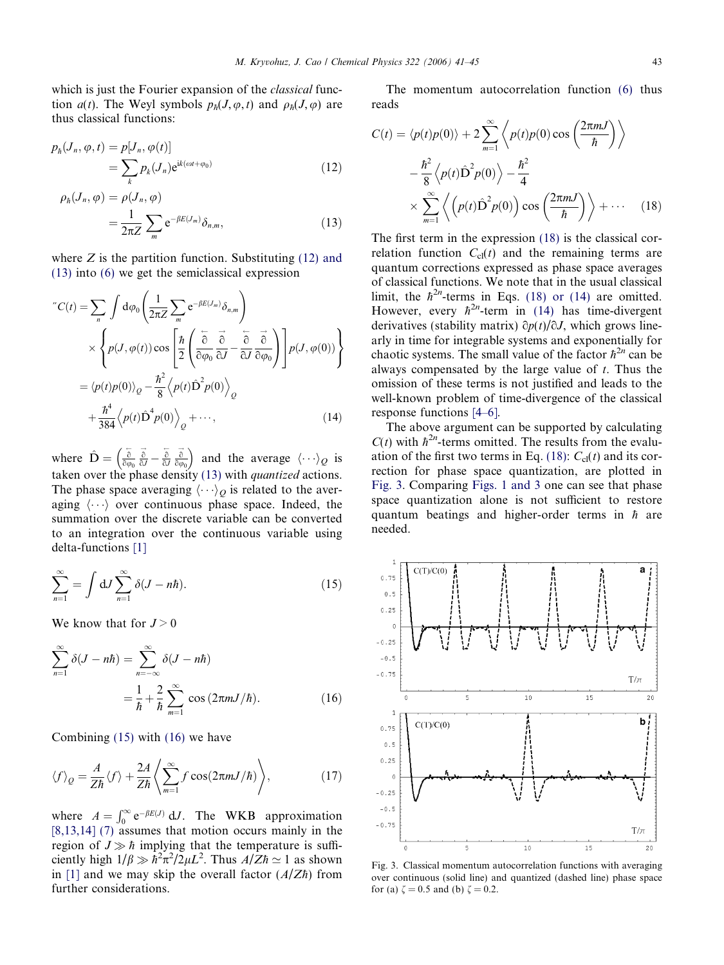<span id="page-2-0"></span>which is just the Fourier expansion of the *classical* function  $a(t)$ . The Weyl symbols  $p_h(J,\varphi,t)$  and  $\rho_h(J,\varphi)$  are thus classical functions:

$$
p_{\hbar}(J_n, \varphi, t) = p[J_n, \varphi(t)]
$$
  
= 
$$
\sum_{k} p_k(J_n) e^{ik(\omega t + \varphi_0)}
$$
 (12)

$$
\rho_h(J_n, \varphi) = \rho(J_n, \varphi)
$$
  
= 
$$
\frac{1}{2\pi Z} \sum_m e^{-\beta E(J_m)} \delta_{n,m},
$$
 (13)

where  $Z$  is the partition function. Substituting  $(12)$  and (13) into [\(6\)](#page-1-0) we get the semiclassical expression

$$
C(t) = \sum_{n} \int d\varphi_{0} \left( \frac{1}{2\pi Z} \sum_{m} e^{-\beta E(J_{m})} \delta_{n,m} \right)
$$
  
 
$$
\times \left\{ p(J, \varphi(t)) \cos \left[ \frac{\hbar}{2} \left( \frac{\partial}{\partial \varphi_{0}} \frac{\partial}{\partial J} - \frac{\partial}{\partial J} \frac{\partial}{\partial \varphi_{0}} \right) \right] p(J, \varphi(0)) \right\}
$$
  
 
$$
= \langle p(t)p(0) \rangle_{Q} - \frac{\hbar^{2}}{8} \langle p(t) \hat{D}^{2} p(0) \rangle_{Q}
$$
  
 
$$
+ \frac{\hbar^{4}}{384} \langle p(t) \hat{D}^{4} p(0) \rangle_{Q} + \cdots, \qquad (14)
$$

where  $\hat{\mathbf{D}} = \begin{pmatrix} \frac{\partial}{\partial \theta} \end{pmatrix}$  $\frac{\overline{\delta}}{\delta\varphi_0}\frac{\overrightarrow{\delta}}{\delta J}-\frac{\overleftarrow{\delta}}{\delta J}$  $\frac{\partial}{\partial y}$   $\frac{\partial}{\partial \varphi}$  $\hat{o}\varphi_0$  $\left(\begin{matrix} \frac{a}{a} & \frac{a}{a} & \frac{b}{a} \\ \frac{b}{a} & \frac{c}{a} & \frac{c}{a} \end{matrix} \right)$  and the average  $\langle \cdots \rangle_Q$  is taken over the phase density (13) with *quantized* actions. The phase space averaging  $\langle \cdots \rangle_O$  is related to the averaging  $\langle \cdots \rangle$  over continuous phase space. Indeed, the summation over the discrete variable can be converted to an integration over the continuous variable using delta-functions [\[1\]](#page-3-0)

$$
\sum_{n=1}^{\infty} = \int dJ \sum_{n=1}^{\infty} \delta(J - n\hbar).
$$
 (15)

We know that for  $J > 0$ 

$$
\sum_{n=1}^{\infty} \delta(J - n\hbar) = \sum_{n=-\infty}^{\infty} \delta(J - n\hbar)
$$

$$
= \frac{1}{\hbar} + \frac{2}{\hbar} \sum_{m=1}^{\infty} \cos(2\pi m J/\hbar).
$$
(16)

Combining (15) with (16) we have

$$
\langle f \rangle_{Q} = \frac{A}{Z\hbar} \langle f \rangle + \frac{2A}{Z\hbar} \left\langle \sum_{m=1}^{\infty} f \cos(2\pi m J/\hbar) \right\rangle, \tag{17}
$$

where  $A = \int_0^\infty e^{-\beta E(J)} dJ$ . The WKB approximation  $[8,13,14]$  [\(7\)](#page-1-0) assumes that motion occurs mainly in the region of  $J \gg \hbar$  implying that the temperature is sufficiently high  $1/\beta \gg \hbar^2 \pi^2/2\mu L^2$ . Thus  $A/Z\hbar \simeq 1$  as shown in [\[1\]](#page-3-0) and we may skip the overall factor  $(A/Z<sup>†</sup>)$  from further considerations.

The momentum autocorrelation function [\(6\)](#page-1-0) thus reads

$$
C(t) = \langle p(t)p(0) \rangle + 2 \sum_{m=1}^{\infty} \left\langle p(t)p(0) \cos \left( \frac{2\pi mJ}{\hbar} \right) \right\rangle
$$

$$
- \frac{\hbar^2}{8} \left\langle p(t) \hat{D}^2 p(0) \right\rangle - \frac{\hbar^2}{4}
$$

$$
\times \sum_{m=1}^{\infty} \left\langle p(t) \hat{D}^2 p(0) \right\rangle \cos \left( \frac{2\pi mJ}{\hbar} \right) \right\rangle + \cdots \quad (18)
$$

The first term in the expression (18) is the classical correlation function  $C_{cl}(t)$  and the remaining terms are quantum corrections expressed as phase space averages of classical functions. We note that in the usual classical limit, the  $\hbar^{2n}$ -terms in Eqs. (18) or (14) are omitted. However, every  $\hbar^{2n}$ -term in (14) has time-divergent derivatives (stability matrix)  $\partial p(t)/\partial J$ , which grows linearly in time for integrable systems and exponentially for chaotic systems. The small value of the factor  $\hbar^{2n}$  can be always compensated by the large value of  $t$ . Thus the omission of these terms is not justified and leads to the well-known problem of time-divergence of the classical response functions [\[4–6\].](#page-3-0)

The above argument can be supported by calculating  $C(t)$  with  $\hbar^{2n}$ -terms omitted. The results from the evaluation of the first two terms in Eq. (18):  $C_{\text{cl}}(t)$  and its correction for phase space quantization, are plotted in Fig. 3. Comparing [Figs. 1 and 3](#page-1-0) one can see that phase space quantization alone is not sufficient to restore quantum beatings and higher-order terms in  $\hbar$  are needed.



Fig. 3. Classical momentum autocorrelation functions with averaging over continuous (solid line) and quantized (dashed line) phase space for (a)  $\zeta = 0.5$  and (b)  $\zeta = 0.2$ .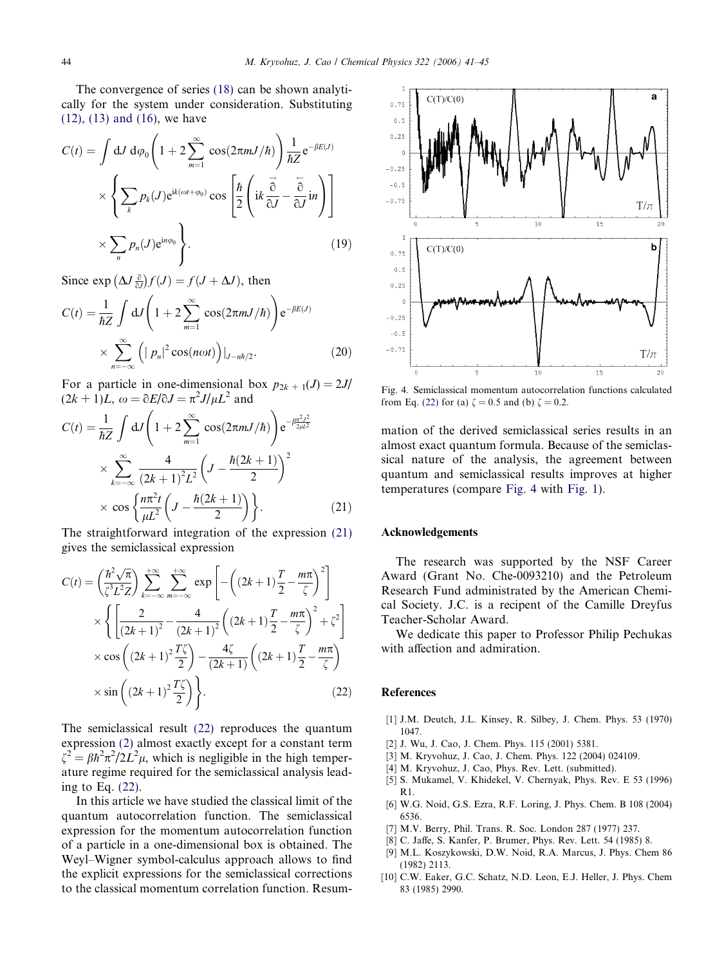<span id="page-3-0"></span>The convergence of series [\(18\)](#page-2-0) can be shown analytically for the system under consideration. Substituting [\(12\), \(13\) and \(16\)](#page-2-0), we have

$$
C(t) = \int dJ d\varphi_0 \left( 1 + 2 \sum_{m=1}^{\infty} \cos(2\pi m J/\hbar) \right) \frac{1}{\hbar Z} e^{-\beta E(J)}
$$

$$
\times \left\{ \sum_k p_k(J) e^{ik(\omega t + \varphi_0)} \cos \left[ \frac{\hbar}{2} \left( ik \frac{\vec{\sigma}}{\partial J} - \frac{\vec{\sigma}}{\partial J} in \right) \right] \right\}
$$

$$
\times \sum_n p_n(J) e^{in\varphi_0} \right\}.
$$
(19)

Since  $\exp\left(\Delta J\frac{\partial}{\partial J}\right)f(J) = f(J + \Delta J)$ , then

$$
C(t) = \frac{1}{\hbar Z} \int dJ \left( 1 + 2 \sum_{m=1}^{\infty} \cos(2\pi m J/\hbar) \right) e^{-\beta E(J)}
$$
  
 
$$
\times \sum_{n=-\infty}^{\infty} \left( |p_n|^2 \cos(n\omega t) \right) |_{J-n\hbar/2}.
$$
 (20)

For a particle in one-dimensional box  $p_{2k+1}(J)=2J/$  $(2k+1)L$ ,  $\omega = \partial E/\partial J = \pi^2 J/\mu L^2$  and

$$
C(t) = \frac{1}{\hbar Z} \int dJ \left( 1 + 2 \sum_{m=1}^{\infty} \cos(2\pi m J/\hbar) \right) e^{-\beta \frac{\pi^2 J^2}{2\mu L^2}} \times \sum_{k=-\infty}^{\infty} \frac{4}{(2k+1)^2 L^2} \left( J - \frac{\hbar (2k+1)}{2} \right)^2 \times \cos \left\{ \frac{n\pi^2 t}{\mu L^2} \left( J - \frac{\hbar (2k+1)}{2} \right) \right\}.
$$
 (21)

The straightforward integration of the expression (21) gives the semiclassical expression

$$
C(t) = \left(\frac{\hbar^2 \sqrt{\pi}}{\zeta^3 L^2 Z}\right) \sum_{k=-\infty}^{+\infty} \sum_{m=-\infty}^{+\infty} \exp\left[-\left((2k+1)\frac{T}{2} - \frac{m\pi}{\zeta}\right)^2\right]
$$

$$
\times \left\{\left[\frac{2}{(2k+1)^2} - \frac{4}{(2k+1)^2}\left((2k+1)\frac{T}{2} - \frac{m\pi}{\zeta}\right)^2 + \zeta^2\right]
$$

$$
\times \cos\left((2k+1)^2 \frac{T\zeta}{2}\right) - \frac{4\zeta}{(2k+1)}\left((2k+1)\frac{T}{2} - \frac{m\pi}{\zeta}\right)
$$

$$
\times \sin\left((2k+1)^2 \frac{T\zeta}{2}\right)\right\}.
$$
(22)

The semiclassical result (22) reproduces the quantum expression [\(2\)](#page-0-0) almost exactly except for a constant term  $\zeta^2 = \beta \hbar^2 \pi^2 / 2L^2 \mu$ , which is negligible in the high temperature regime required for the semiclassical analysis leading to Eq. (22).

In this article we have studied the classical limit of the quantum autocorrelation function. The semiclassical expression for the momentum autocorrelation function of a particle in a one-dimensional box is obtained. The Weyl–Wigner symbol-calculus approach allows to find the explicit expressions for the semiclassical corrections to the classical momentum correlation function. Resum-



Fig. 4. Semiclassical momentum autocorrelation functions calculated from Eq. (22) for (a)  $\zeta = 0.5$  and (b)  $\zeta = 0.2$ .

mation of the derived semiclassical series results in an almost exact quantum formula. Because of the semiclassical nature of the analysis, the agreement between quantum and semiclassical results improves at higher temperatures (compare Fig. 4 with [Fig. 1](#page-1-0)).

## Acknowledgements

The research was supported by the NSF Career Award (Grant No. Che-0093210) and the Petroleum Research Fund administrated by the American Chemical Society. J.C. is a recipent of the Camille Dreyfus Teacher-Scholar Award.

We dedicate this paper to Professor Philip Pechukas with affection and admiration.

## References

- [1] J.M. Deutch, J.L. Kinsey, R. Silbey, J. Chem. Phys. 53 (1970) 1047.
- [2] J. Wu, J. Cao, J. Chem. Phys. 115 (2001) 5381.
- [3] M. Kryvohuz, J. Cao, J. Chem. Phys. 122 (2004) 024109.
- [4] M. Kryvohuz, J. Cao, Phys. Rev. Lett. (submitted).
- [5] S. Mukamel, V. Khidekel, V. Chernyak, Phys. Rev. E 53 (1996)  $R<sub>1</sub>$
- [6] W.G. Noid, G.S. Ezra, R.F. Loring, J. Phys. Chem. B 108 (2004) 6536.
- [7] M.V. Berry, Phil. Trans. R. Soc. London 287 (1977) 237.
- [8] C. Jaffe, S. Kanfer, P. Brumer, Phys. Rev. Lett. 54 (1985) 8.
- [9] M.L. Koszykowski, D.W. Noid, R.A. Marcus, J. Phys. Chem 86 (1982) 2113.
- [10] C.W. Eaker, G.C. Schatz, N.D. Leon, E.J. Heller, J. Phys. Chem 83 (1985) 2990.